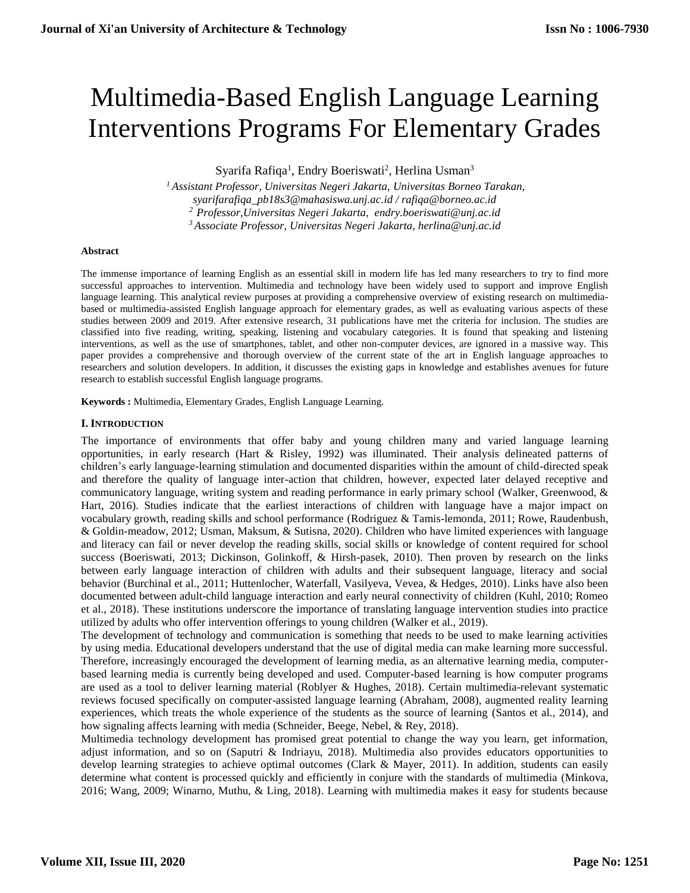# Multimedia-Based English Language Learning Interventions Programs For Elementary Grades

Syarifa Rafiqa<sup>1</sup>, Endry Boeriswati<sup>2</sup>, Herlina Usman<sup>3</sup>

 *Assistant Professor, Universitas Negeri Jakarta, Universitas Borneo Tarakan, syarifarafiqa\_pb18s3@mahasiswa.unj.ac.id / rafiqa@borneo.ac.id Professor,Universitas Negeri Jakarta, endry.boeriswati@unj.ac.id Associate Professor, Universitas Negeri Jakarta, herlina@unj.ac.id*

## **Abstract**

The immense importance of learning English as an essential skill in modern life has led many researchers to try to find more successful approaches to intervention. Multimedia and technology have been widely used to support and improve English language learning. This analytical review purposes at providing a comprehensive overview of existing research on multimediabased or multimedia-assisted English language approach for elementary grades, as well as evaluating various aspects of these studies between 2009 and 2019. After extensive research, 31 publications have met the criteria for inclusion. The studies are classified into five reading, writing, speaking, listening and vocabulary categories. It is found that speaking and listening interventions, as well as the use of smartphones, tablet, and other non-computer devices, are ignored in a massive way. This paper provides a comprehensive and thorough overview of the current state of the art in English language approaches to researchers and solution developers. In addition, it discusses the existing gaps in knowledge and establishes avenues for future research to establish successful English language programs.

**Keywords :** Multimedia, Elementary Grades, English Language Learning.

## **I. INTRODUCTION**

The importance of environments that offer baby and young children many and varied language learning opportunities, in early research (Hart & Risley, 1992) was illuminated. Their analysis delineated patterns of children's early language-learning stimulation and documented disparities within the amount of child-directed speak and therefore the quality of language inter-action that children, however, expected later delayed receptive and communicatory language, writing system and reading performance in early primary school (Walker, Greenwood, & Hart, 2016). Studies indicate that the earliest interactions of children with language have a major impact on vocabulary growth, reading skills and school performance (Rodriguez & Tamis-lemonda, 2011; Rowe, Raudenbush, & Goldin-meadow, 2012; Usman, Maksum, & Sutisna, 2020). Children who have limited experiences with language and literacy can fail or never develop the reading skills, social skills or knowledge of content required for school success (Boeriswati, 2013; Dickinson, Golinkoff, & Hirsh-pasek, 2010). Then proven by research on the links between early language interaction of children with adults and their subsequent language, literacy and social behavior (Burchinal et al., 2011; Huttenlocher, Waterfall, Vasilyeva, Vevea, & Hedges, 2010). Links have also been documented between adult-child language interaction and early neural connectivity of children (Kuhl, 2010; Romeo et al., 2018). These institutions underscore the importance of translating language intervention studies into practice utilized by adults who offer intervention offerings to young children (Walker et al., 2019).

The development of technology and communication is something that needs to be used to make learning activities by using media. Educational developers understand that the use of digital media can make learning more successful. Therefore, increasingly encouraged the development of learning media, as an alternative learning media, computerbased learning media is currently being developed and used. Computer-based learning is how computer programs are used as a tool to deliver learning material (Roblyer & Hughes, 2018). Certain multimedia-relevant systematic reviews focused specifically on computer-assisted language learning (Abraham, 2008), augmented reality learning experiences, which treats the whole experience of the students as the source of learning (Santos et al., 2014), and how signaling affects learning with media (Schneider, Beege, Nebel, & Rey, 2018).

Multimedia technology development has promised great potential to change the way you learn, get information, adjust information, and so on (Saputri & Indriayu, 2018). Multimedia also provides educators opportunities to develop learning strategies to achieve optimal outcomes (Clark & Mayer, 2011). In addition, students can easily determine what content is processed quickly and efficiently in conjure with the standards of multimedia (Minkova, 2016; Wang, 2009; Winarno, Muthu, & Ling, 2018). Learning with multimedia makes it easy for students because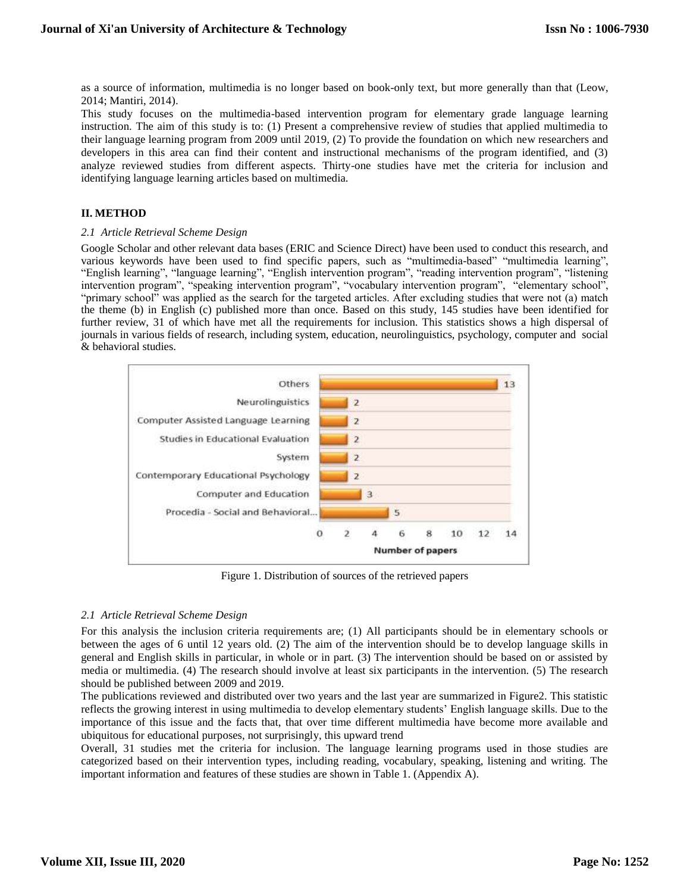as a source of information, multimedia is no longer based on book-only text, but more generally than that (Leow, 2014; Mantiri, 2014).

This study focuses on the multimedia-based intervention program for elementary grade language learning instruction. The aim of this study is to: (1) Present a comprehensive review of studies that applied multimedia to their language learning program from 2009 until 2019, (2) To provide the foundation on which new researchers and developers in this area can find their content and instructional mechanisms of the program identified, and (3) analyze reviewed studies from different aspects. Thirty-one studies have met the criteria for inclusion and identifying language learning articles based on multimedia.

## **II. METHOD**

## *2.1 Article Retrieval Scheme Design*

Google Scholar and other relevant data bases (ERIC and Science Direct) have been used to conduct this research, and various keywords have been used to find specific papers, such as "multimedia-based" "multimedia learning", "English learning", "language learning", "English intervention program", "reading intervention program", "listening intervention program", "speaking intervention program", "vocabulary intervention program", "elementary school", "primary school" was applied as the search for the targeted articles. After excluding studies that were not (a) match the theme (b) in English (c) published more than once. Based on this study, 145 studies have been identified for further review, 31 of which have met all the requirements for inclusion. This statistics shows a high dispersal of journals in various fields of research, including system, education, neurolinguistics, psychology, computer and social & behavioral studies.



Figure 1. Distribution of sources of the retrieved papers

## *2.1 Article Retrieval Scheme Design*

For this analysis the inclusion criteria requirements are; (1) All participants should be in elementary schools or between the ages of 6 until 12 years old. (2) The aim of the intervention should be to develop language skills in general and English skills in particular, in whole or in part. (3) The intervention should be based on or assisted by media or multimedia. (4) The research should involve at least six participants in the intervention. (5) The research should be published between 2009 and 2019.

The publications reviewed and distributed over two years and the last year are summarized in Figure2. This statistic reflects the growing interest in using multimedia to develop elementary students' English language skills. Due to the importance of this issue and the facts that, that over time different multimedia have become more available and ubiquitous for educational purposes, not surprisingly, this upward trend

Overall, 31 studies met the criteria for inclusion. The language learning programs used in those studies are categorized based on their intervention types, including reading, vocabulary, speaking, listening and writing. The important information and features of these studies are shown in Table 1. (Appendix A).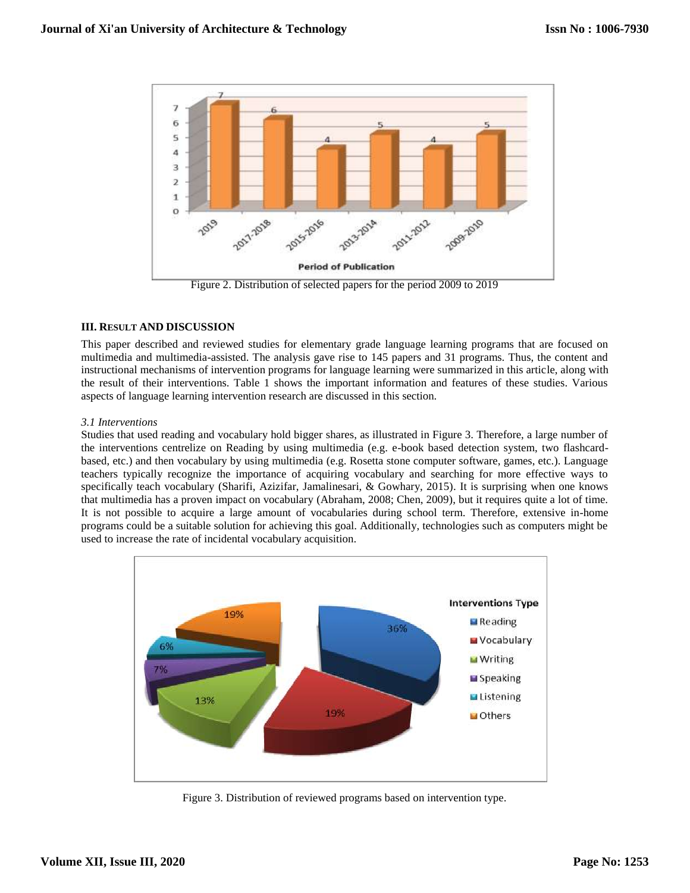

Figure 2. Distribution of selected papers for the period 2009 to 2019

# **III. RESULT AND DISCUSSION**

This paper described and reviewed studies for elementary grade language learning programs that are focused on multimedia and multimedia-assisted. The analysis gave rise to 145 papers and 31 programs. Thus, the content and instructional mechanisms of intervention programs for language learning were summarized in this article, along with the result of their interventions. Table 1 shows the important information and features of these studies. Various aspects of language learning intervention research are discussed in this section.

# *3.1 Interventions*

Studies that used reading and vocabulary hold bigger shares, as illustrated in Figure 3. Therefore, a large number of the interventions centrelize on Reading by using multimedia (e.g. e-book based detection system, two flashcardbased, etc.) and then vocabulary by using multimedia (e.g. Rosetta stone computer software, games, etc.). Language teachers typically recognize the importance of acquiring vocabulary and searching for more effective ways to specifically teach vocabulary (Sharifi, Azizifar, Jamalinesari, & Gowhary, 2015). It is surprising when one knows that multimedia has a proven impact on vocabulary (Abraham, 2008; Chen, 2009), but it requires quite a lot of time. It is not possible to acquire a large amount of vocabularies during school term. Therefore, extensive in-home programs could be a suitable solution for achieving this goal. Additionally, technologies such as computers might be used to increase the rate of incidental vocabulary acquisition.



Figure 3. Distribution of reviewed programs based on intervention type.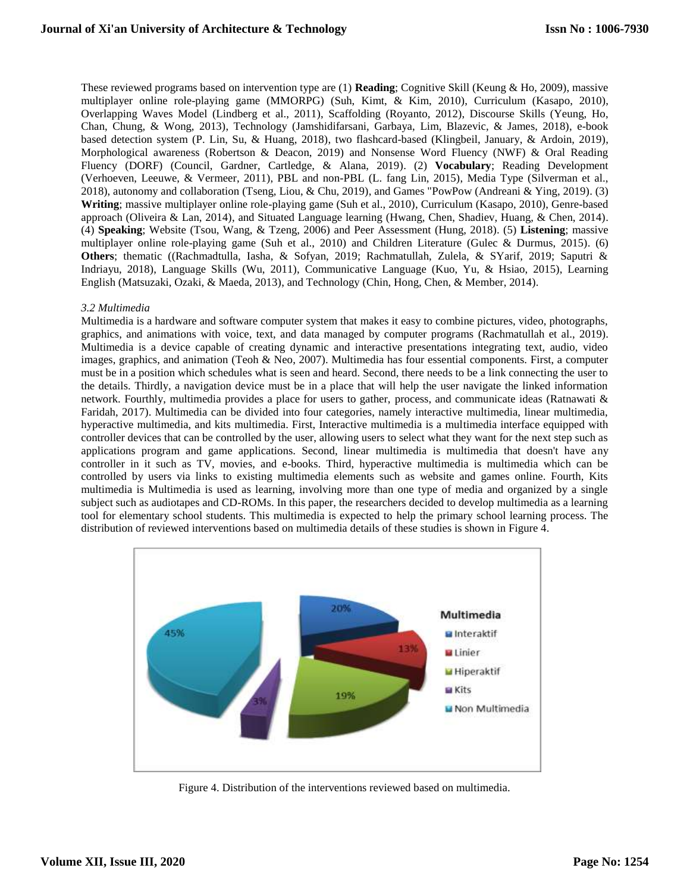These reviewed programs based on intervention type are (1) **Reading**; Cognitive Skill (Keung & Ho, 2009), massive multiplayer online role-playing game (MMORPG) (Suh, Kimt, & Kim, 2010), Curriculum (Kasapo, 2010), Overlapping Waves Model (Lindberg et al., 2011), Scaffolding (Royanto, 2012), Discourse Skills (Yeung, Ho, Chan, Chung, & Wong, 2013), Technology (Jamshidifarsani, Garbaya, Lim, Blazevic, & James, 2018), e-book based detection system (P. Lin, Su, & Huang, 2018), two flashcard-based (Klingbeil, January, & Ardoin, 2019), Morphological awareness (Robertson & Deacon, 2019) and Nonsense Word Fluency (NWF) & Oral Reading Fluency (DORF) (Council, Gardner, Cartledge, & Alana, 2019). (2) **Vocabulary**; Reading Development (Verhoeven, Leeuwe, & Vermeer, 2011), PBL and non-PBL (L. fang Lin, 2015), Media Type (Silverman et al., 2018), autonomy and collaboration (Tseng, Liou, & Chu, 2019), and Games "PowPow (Andreani & Ying, 2019). (3) **Writing**; massive multiplayer online role-playing game (Suh et al., 2010), Curriculum (Kasapo, 2010), Genre-based approach (Oliveira & Lan, 2014), and Situated Language learning (Hwang, Chen, Shadiev, Huang, & Chen, 2014). (4) **Speaking**; Website (Tsou, Wang, & Tzeng, 2006) and Peer Assessment (Hung, 2018). (5) **Listening**; massive multiplayer online role-playing game (Suh et al., 2010) and Children Literature (Gulec & Durmus, 2015). (6) **Others**; thematic ((Rachmadtulla, Iasha, & Sofyan, 2019; Rachmatullah, Zulela, & SYarif, 2019; Saputri & Indriayu, 2018), Language Skills (Wu, 2011), Communicative Language (Kuo, Yu, & Hsiao, 2015), Learning English (Matsuzaki, Ozaki, & Maeda, 2013), and Technology (Chin, Hong, Chen, & Member, 2014).

## *3.2 Multimedia*

Multimedia is a hardware and software computer system that makes it easy to combine pictures, video, photographs, graphics, and animations with voice, text, and data managed by computer programs (Rachmatullah et al., 2019). Multimedia is a device capable of creating dynamic and interactive presentations integrating text, audio, video images, graphics, and animation (Teoh & Neo, 2007). Multimedia has four essential components. First, a computer must be in a position which schedules what is seen and heard. Second, there needs to be a link connecting the user to the details. Thirdly, a navigation device must be in a place that will help the user navigate the linked information network. Fourthly, multimedia provides a place for users to gather, process, and communicate ideas (Ratnawati & Faridah, 2017). Multimedia can be divided into four categories, namely interactive multimedia, linear multimedia, hyperactive multimedia, and kits multimedia. First, Interactive multimedia is a multimedia interface equipped with controller devices that can be controlled by the user, allowing users to select what they want for the next step such as applications program and game applications. Second, linear multimedia is multimedia that doesn't have any controller in it such as TV, movies, and e-books. Third, hyperactive multimedia is multimedia which can be controlled by users via links to existing multimedia elements such as website and games online. Fourth, Kits multimedia is Multimedia is used as learning, involving more than one type of media and organized by a single subject such as audiotapes and CD-ROMs. In this paper, the researchers decided to develop multimedia as a learning tool for elementary school students. This multimedia is expected to help the primary school learning process. The distribution of reviewed interventions based on multimedia details of these studies is shown in Figure 4.



Figure 4. Distribution of the interventions reviewed based on multimedia.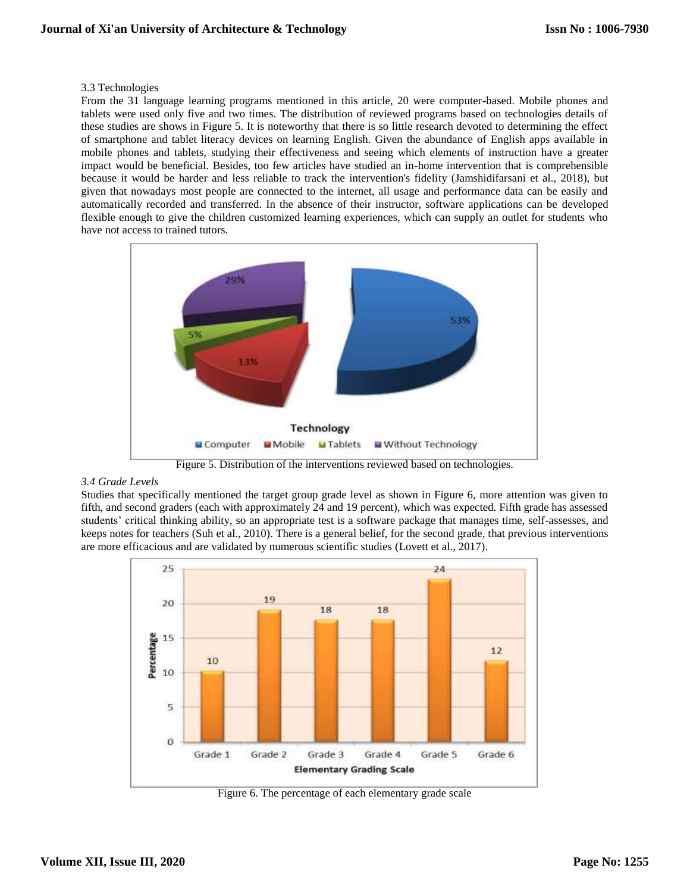## 3.3 Technologies

From the 31 language learning programs mentioned in this article, 20 were computer-based. Mobile phones and tablets were used only five and two times. The distribution of reviewed programs based on technologies details of these studies are shows in Figure 5. It is noteworthy that there is so little research devoted to determining the effect of smartphone and tablet literacy devices on learning English. Given the abundance of English apps available in mobile phones and tablets, studying their effectiveness and seeing which elements of instruction have a greater impact would be beneficial. Besides, too few articles have studied an in-home intervention that is comprehensible because it would be harder and less reliable to track the intervention's fidelity (Jamshidifarsani et al., 2018), but given that nowadays most people are connected to the internet, all usage and performance data can be easily and automatically recorded and transferred. In the absence of their instructor, software applications can be developed flexible enough to give the children customized learning experiences, which can supply an outlet for students who have not access to trained tutors.



Figure 5. Distribution of the interventions reviewed based on technologies.

## *3.4 Grade Levels*

Studies that specifically mentioned the target group grade level as shown in Figure 6, more attention was given to fifth, and second graders (each with approximately 24 and 19 percent), which was expected. Fifth grade has assessed students' critical thinking ability, so an appropriate test is a software package that manages time, self-assesses, and keeps notes for teachers (Suh et al., 2010). There is a general belief, for the second grade, that previous interventions are more efficacious and are validated by numerous scientific studies (Lovett et al., 2017).



Figure 6. The percentage of each elementary grade scale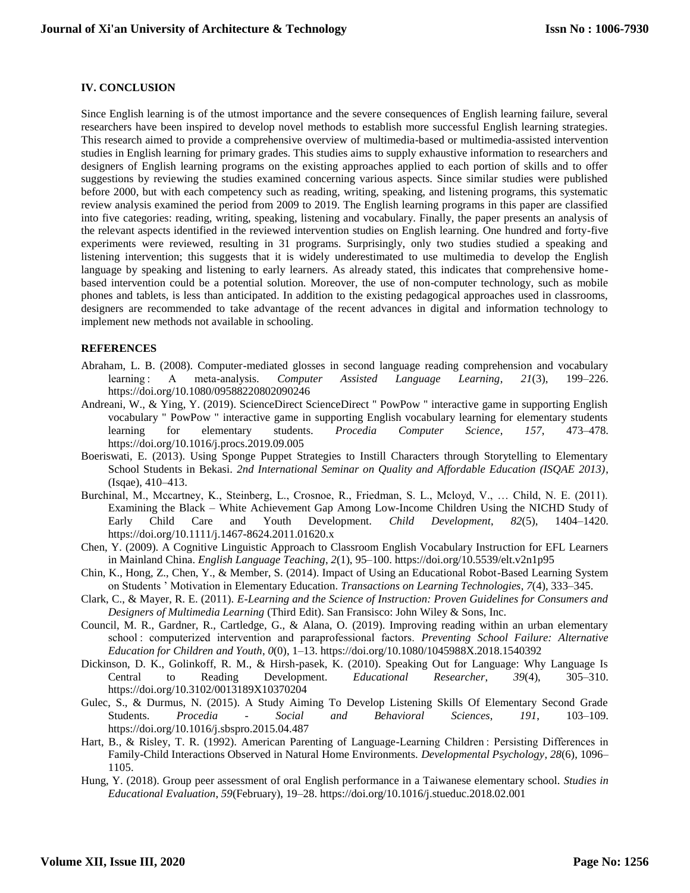# **IV. CONCLUSION**

Since English learning is of the utmost importance and the severe consequences of English learning failure, several researchers have been inspired to develop novel methods to establish more successful English learning strategies. This research aimed to provide a comprehensive overview of multimedia-based or multimedia-assisted intervention studies in English learning for primary grades. This studies aims to supply exhaustive information to researchers and designers of English learning programs on the existing approaches applied to each portion of skills and to offer suggestions by reviewing the studies examined concerning various aspects. Since similar studies were published before 2000, but with each competency such as reading, writing, speaking, and listening programs, this systematic review analysis examined the period from 2009 to 2019. The English learning programs in this paper are classified into five categories: reading, writing, speaking, listening and vocabulary. Finally, the paper presents an analysis of the relevant aspects identified in the reviewed intervention studies on English learning. One hundred and forty-five experiments were reviewed, resulting in 31 programs. Surprisingly, only two studies studied a speaking and listening intervention; this suggests that it is widely underestimated to use multimedia to develop the English language by speaking and listening to early learners. As already stated, this indicates that comprehensive homebased intervention could be a potential solution. Moreover, the use of non-computer technology, such as mobile phones and tablets, is less than anticipated. In addition to the existing pedagogical approaches used in classrooms, designers are recommended to take advantage of the recent advances in digital and information technology to implement new methods not available in schooling.

## **REFERENCES**

- Abraham, L. B. (2008). Computer-mediated glosses in second language reading comprehension and vocabulary learning: A meta-analysis. Computer Assisted Language Learning, 21(3), 199–226. learning : A meta-analysis. *Computer Assisted Language Learning*, *21*(3), 199–226. https://doi.org/10.1080/09588220802090246
- Andreani, W., & Ying, Y. (2019). ScienceDirect ScienceDirect " PowPow " interactive game in supporting English vocabulary " PowPow " interactive game in supporting English vocabulary learning for elementary students learning for elementary students. *Procedia Computer Science*, *157*, 473–478. https://doi.org/10.1016/j.procs.2019.09.005
- Boeriswati, E. (2013). Using Sponge Puppet Strategies to Instill Characters through Storytelling to Elementary School Students in Bekasi. *2nd International Seminar on Quality and Affordable Education (ISQAE 2013)*, (Isqae), 410–413.
- Burchinal, M., Mccartney, K., Steinberg, L., Crosnoe, R., Friedman, S. L., Mcloyd, V., … Child, N. E. (2011). Examining the Black – White Achievement Gap Among Low-Income Children Using the NICHD Study of Early Child Care and Youth Development. *Child Development*, *82*(5), 1404–1420. https://doi.org/10.1111/j.1467-8624.2011.01620.x
- Chen, Y. (2009). A Cognitive Linguistic Approach to Classroom English Vocabulary Instruction for EFL Learners in Mainland China. *English Language Teaching*, *2*(1), 95–100. https://doi.org/10.5539/elt.v2n1p95
- Chin, K., Hong, Z., Chen, Y., & Member, S. (2014). Impact of Using an Educational Robot-Based Learning System on Students ' Motivation in Elementary Education. *Transactions on Learning Technologies*, *7*(4), 333–345.
- Clark, C., & Mayer, R. E. (2011). *E-Learning and the Science of Instruction: Proven Guidelines for Consumers and Designers of Multimedia Learning* (Third Edit). San Fransisco: John Wiley & Sons, Inc.
- Council, M. R., Gardner, R., Cartledge, G., & Alana, O. (2019). Improving reading within an urban elementary school : computerized intervention and paraprofessional factors. *Preventing School Failure: Alternative Education for Children and Youth*, *0*(0), 1–13. https://doi.org/10.1080/1045988X.2018.1540392
- Dickinson, D. K., Golinkoff, R. M., & Hirsh-pasek, K. (2010). Speaking Out for Language: Why Language Is Central to Reading Development. *Educational Researcher*, *39*(4), 305–310. https://doi.org/10.3102/0013189X10370204
- Gulec, S., & Durmus, N. (2015). A Study Aiming To Develop Listening Skills Of Elementary Second Grade Students. *Procedia - Social and Behavioral Sciences*, *191*, 103–109. https://doi.org/10.1016/j.sbspro.2015.04.487
- Hart, B., & Risley, T. R. (1992). American Parenting of Language-Learning Children : Persisting Differences in Family-Child Interactions Observed in Natural Home Environments. *Developmental Psychology*, *28*(6), 1096– 1105.
- Hung, Y. (2018). Group peer assessment of oral English performance in a Taiwanese elementary school. *Studies in Educational Evaluation*, *59*(February), 19–28. https://doi.org/10.1016/j.stueduc.2018.02.001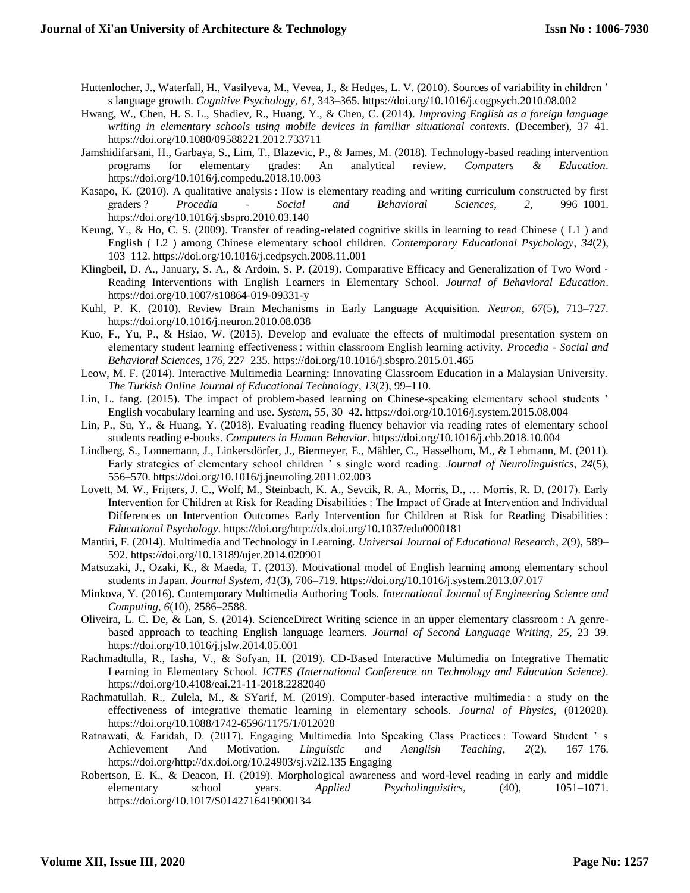- Huttenlocher, J., Waterfall, H., Vasilyeva, M., Vevea, J., & Hedges, L. V. (2010). Sources of variability in children ' s language growth. *Cognitive Psychology*, *61*, 343–365. https://doi.org/10.1016/j.cogpsych.2010.08.002
- Hwang, W., Chen, H. S. L., Shadiev, R., Huang, Y., & Chen, C. (2014). *Improving English as a foreign language writing in elementary schools using mobile devices in familiar situational contexts*. (December), 37–41. https://doi.org/10.1080/09588221.2012.733711
- Jamshidifarsani, H., Garbaya, S., Lim, T., Blazevic, P., & James, M. (2018). Technology-based reading intervention programs for elementary grades: An analytical review. *Computers & Education*. https://doi.org/10.1016/j.compedu.2018.10.003
- Kasapo, K. (2010). A qualitative analysis : How is elementary reading and writing curriculum constructed by first graders ? *Procedia - Social and Behavioral Sciences*, *2*, 996–1001. https://doi.org/10.1016/j.sbspro.2010.03.140
- Keung, Y., & Ho, C. S. (2009). Transfer of reading-related cognitive skills in learning to read Chinese ( L1 ) and English ( L2 ) among Chinese elementary school children. *Contemporary Educational Psychology*, *34*(2), 103–112. https://doi.org/10.1016/j.cedpsych.2008.11.001
- Klingbeil, D. A., January, S. A., & Ardoin, S. P. (2019). Comparative Efficacy and Generalization of Two Word -Reading Interventions with English Learners in Elementary School. *Journal of Behavioral Education*. https://doi.org/10.1007/s10864-019-09331-y
- Kuhl, P. K. (2010). Review Brain Mechanisms in Early Language Acquisition. *Neuron*, *67*(5), 713–727. https://doi.org/10.1016/j.neuron.2010.08.038
- Kuo, F., Yu, P., & Hsiao, W. (2015). Develop and evaluate the effects of multimodal presentation system on elementary student learning effectiveness : within classroom English learning activity. *Procedia - Social and Behavioral Sciences*, *176*, 227–235. https://doi.org/10.1016/j.sbspro.2015.01.465
- Leow, M. F. (2014). Interactive Multimedia Learning: Innovating Classroom Education in a Malaysian University. *The Turkish Online Journal of Educational Technology*, *13*(2), 99–110.
- Lin, L. fang. (2015). The impact of problem-based learning on Chinese-speaking elementary school students ' English vocabulary learning and use. *System*, *55*, 30–42. https://doi.org/10.1016/j.system.2015.08.004
- Lin, P., Su, Y., & Huang, Y. (2018). Evaluating reading fluency behavior via reading rates of elementary school students reading e-books. *Computers in Human Behavior*. https://doi.org/10.1016/j.chb.2018.10.004
- Lindberg, S., Lonnemann, J., Linkersdörfer, J., Biermeyer, E., Mähler, C., Hasselhorn, M., & Lehmann, M. (2011). Early strategies of elementary school children ' s single word reading. *Journal of Neurolinguistics*, *24*(5), 556–570. https://doi.org/10.1016/j.jneuroling.2011.02.003
- Lovett, M. W., Frijters, J. C., Wolf, M., Steinbach, K. A., Sevcik, R. A., Morris, D., … Morris, R. D. (2017). Early Intervention for Children at Risk for Reading Disabilities : The Impact of Grade at Intervention and Individual Differences on Intervention Outcomes Early Intervention for Children at Risk for Reading Disabilities : *Educational Psychology*. https://doi.org/http://dx.doi.org/10.1037/edu0000181
- Mantiri, F. (2014). Multimedia and Technology in Learning. *Universal Journal of Educational Research*, *2*(9), 589– 592. https://doi.org/10.13189/ujer.2014.020901
- Matsuzaki, J., Ozaki, K., & Maeda, T. (2013). Motivational model of English learning among elementary school students in Japan. *Journal System*, *41*(3), 706–719. https://doi.org/10.1016/j.system.2013.07.017
- Minkova, Y. (2016). Contemporary Multimedia Authoring Tools. *International Journal of Engineering Science and Computing*, *6*(10), 2586–2588.
- Oliveira, L. C. De, & Lan, S. (2014). ScienceDirect Writing science in an upper elementary classroom : A genrebased approach to teaching English language learners. *Journal of Second Language Writing*, *25*, 23–39. https://doi.org/10.1016/j.jslw.2014.05.001
- Rachmadtulla, R., Iasha, V., & Sofyan, H. (2019). CD-Based Interactive Multimedia on Integrative Thematic Learning in Elementary School. *ICTES (International Conference on Technology and Education Science)*. https://doi.org/10.4108/eai.21-11-2018.2282040
- Rachmatullah, R., Zulela, M., & SYarif, M. (2019). Computer-based interactive multimedia : a study on the effectiveness of integrative thematic learning in elementary schools. *Journal of Physics*, (012028). https://doi.org/10.1088/1742-6596/1175/1/012028
- Ratnawati, & Faridah, D. (2017). Engaging Multimedia Into Speaking Class Practices : Toward Student ' s Achievement And Motivation. *Linguistic and Aenglish Teaching*, *2*(2), 167–176. https://doi.org/http://dx.doi.org/10.24903/sj.v2i2.135 Engaging
- Robertson, E. K., & Deacon, H. (2019). Morphological awareness and word-level reading in early and middle elementary school years. *Applied Psycholinguistics*, (40), 1051–1071. https://doi.org/10.1017/S0142716419000134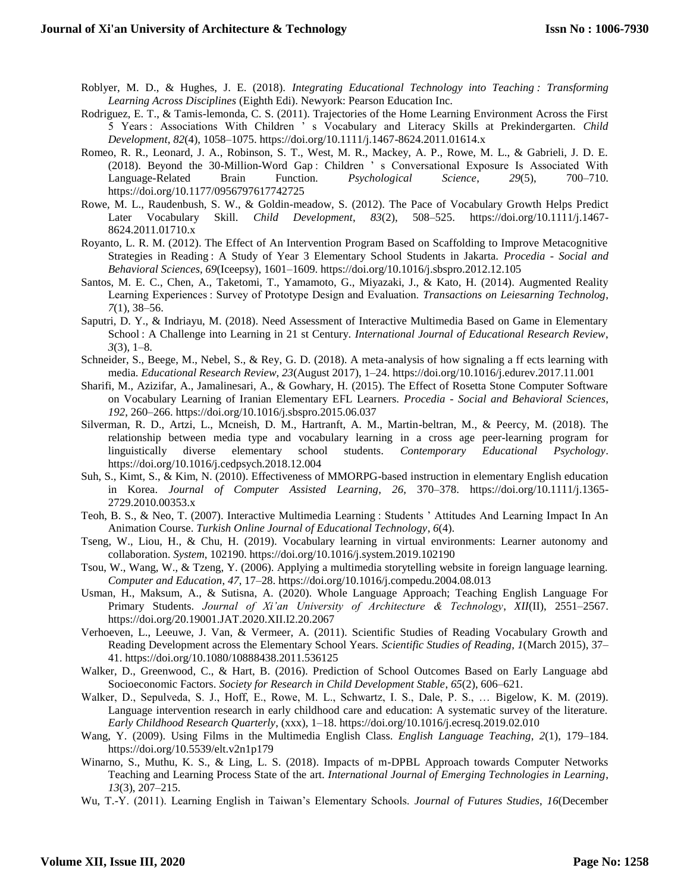- Roblyer, M. D., & Hughes, J. E. (2018). *Integrating Educational Technology into Teaching : Transforming Learning Across Disciplines* (Eighth Edi). Newyork: Pearson Education Inc.
- Rodriguez, E. T., & Tamis-lemonda, C. S. (2011). Trajectories of the Home Learning Environment Across the First 5 Years : Associations With Children ' s Vocabulary and Literacy Skills at Prekindergarten. *Child Development*, *82*(4), 1058–1075. https://doi.org/10.1111/j.1467-8624.2011.01614.x
- Romeo, R. R., Leonard, J. A., Robinson, S. T., West, M. R., Mackey, A. P., Rowe, M. L., & Gabrieli, J. D. E. (2018). Beyond the 30-Million-Word Gap : Children ' s Conversational Exposure Is Associated With Language-Related Brain Function. *Psychological Science*, *29*(5), 700–710. https://doi.org/10.1177/0956797617742725
- Rowe, M. L., Raudenbush, S. W., & Goldin-meadow, S. (2012). The Pace of Vocabulary Growth Helps Predict Later Vocabulary Skill. *Child Development*, *83*(2), 508–525. https://doi.org/10.1111/j.1467- 8624.2011.01710.x
- Royanto, L. R. M. (2012). The Effect of An Intervention Program Based on Scaffolding to Improve Metacognitive Strategies in Reading : A Study of Year 3 Elementary School Students in Jakarta. *Procedia - Social and Behavioral Sciences*, *69*(Iceepsy), 1601–1609. https://doi.org/10.1016/j.sbspro.2012.12.105
- Santos, M. E. C., Chen, A., Taketomi, T., Yamamoto, G., Miyazaki, J., & Kato, H. (2014). Augmented Reality Learning Experiences : Survey of Prototype Design and Evaluation. *Transactions on Leiesarning Technolog*, *7*(1), 38–56.
- Saputri, D. Y., & Indriayu, M. (2018). Need Assessment of Interactive Multimedia Based on Game in Elementary School : A Challenge into Learning in 21 st Century. *International Journal of Educational Research Review*, *3*(3), 1–8.
- Schneider, S., Beege, M., Nebel, S., & Rey, G. D. (2018). A meta-analysis of how signaling a ff ects learning with media. *Educational Research Review*, *23*(August 2017), 1–24. https://doi.org/10.1016/j.edurev.2017.11.001
- Sharifi, M., Azizifar, A., Jamalinesari, A., & Gowhary, H. (2015). The Effect of Rosetta Stone Computer Software on Vocabulary Learning of Iranian Elementary EFL Learners. *Procedia - Social and Behavioral Sciences*, *192*, 260–266. https://doi.org/10.1016/j.sbspro.2015.06.037
- Silverman, R. D., Artzi, L., Mcneish, D. M., Hartranft, A. M., Martin-beltran, M., & Peercy, M. (2018). The relationship between media type and vocabulary learning in a cross age peer-learning program for linguistically diverse elementary school students. *Contemporary Educational Psychology*. https://doi.org/10.1016/j.cedpsych.2018.12.004
- Suh, S., Kimt, S., & Kim, N. (2010). Effectiveness of MMORPG-based instruction in elementary English education in Korea. *Journal of Computer Assisted Learning*, *26*, 370–378. https://doi.org/10.1111/j.1365- 2729.2010.00353.x
- Teoh, B. S., & Neo, T. (2007). Interactive Multimedia Learning : Students ' Attitudes And Learning Impact In An Animation Course. *Turkish Online Journal of Educational Technology*, *6*(4).
- Tseng, W., Liou, H., & Chu, H. (2019). Vocabulary learning in virtual environments: Learner autonomy and collaboration. *System*, 102190. https://doi.org/10.1016/j.system.2019.102190
- Tsou, W., Wang, W., & Tzeng, Y. (2006). Applying a multimedia storytelling website in foreign language learning. *Computer and Education*, *47*, 17–28. https://doi.org/10.1016/j.compedu.2004.08.013
- Usman, H., Maksum, A., & Sutisna, A. (2020). Whole Language Approach; Teaching English Language For Primary Students. *Journal of Xi'an University of Architecture & Technology*, *XII*(II), 2551–2567. https://doi.org/20.19001.JAT.2020.XII.I2.20.2067
- Verhoeven, L., Leeuwe, J. Van, & Vermeer, A. (2011). Scientific Studies of Reading Vocabulary Growth and Reading Development across the Elementary School Years. *Scientific Studies of Reading*, *1*(March 2015), 37– 41. https://doi.org/10.1080/10888438.2011.536125
- Walker, D., Greenwood, C., & Hart, B. (2016). Prediction of School Outcomes Based on Early Language abd Socioeconomic Factors. *Society for Research in Child Development Stable*, *65*(2), 606–621.
- Walker, D., Sepulveda, S. J., Hoff, E., Rowe, M. L., Schwartz, I. S., Dale, P. S., ... Bigelow, K. M. (2019). Language intervention research in early childhood care and education: A systematic survey of the literature. *Early Childhood Research Quarterly*, (xxx), 1–18. https://doi.org/10.1016/j.ecresq.2019.02.010
- Wang, Y. (2009). Using Films in the Multimedia English Class. *English Language Teaching*, *2*(1), 179–184. https://doi.org/10.5539/elt.v2n1p179
- Winarno, S., Muthu, K. S., & Ling, L. S. (2018). Impacts of m-DPBL Approach towards Computer Networks Teaching and Learning Process State of the art. *International Journal of Emerging Technologies in Learning*, *13*(3), 207–215.
- Wu, T.-Y. (2011). Learning English in Taiwan's Elementary Schools. *Journal of Futures Studies*, *16*(December